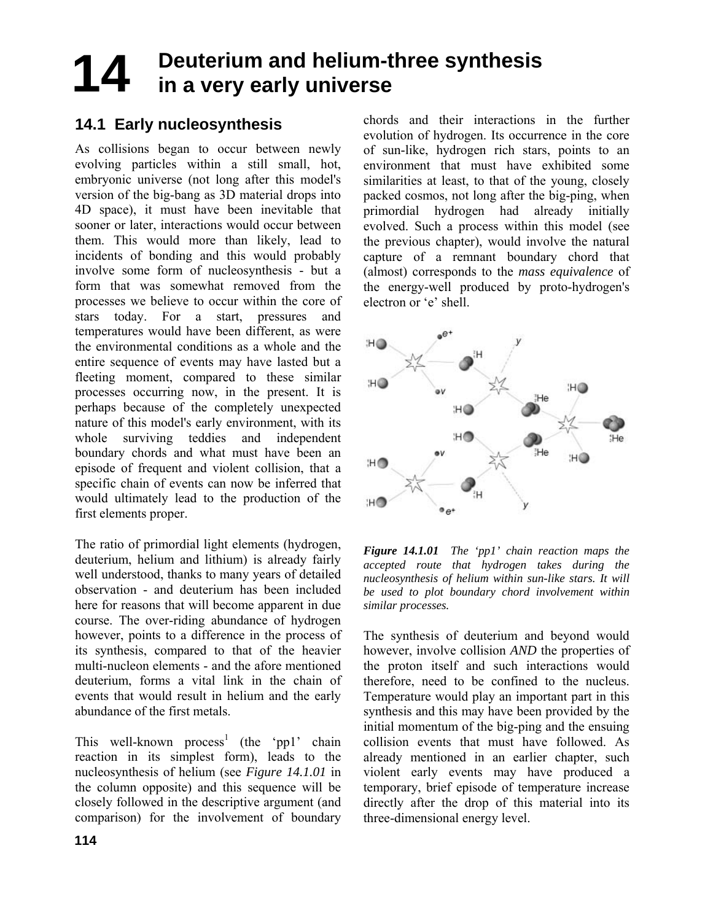## **Deuterium and helium-three synthesis in a very early universe 14**

# **14.1 Early nucleosynthesis**

As collisions began to occur between newly evolving particles within a still small, hot, embryonic universe (not long after this model's version of the big-bang as 3D material drops into 4D space), it must have been inevitable that sooner or later, interactions would occur between them. This would more than likely, lead to incidents of bonding and this would probably involve some form of nucleosynthesis - but a form that was somewhat removed from the processes we believe to occur within the core of stars today. For a start, pressures and temperatures would have been different, as were the environmental conditions as a whole and the entire sequence of events may have lasted but a fleeting moment, compared to these similar processes occurring now, in the present. It is perhaps because of the completely unexpected nature of this model's early environment, with its whole surviving teddies and independent boundary chords and what must have been an episode of frequent and violent collision, that a specific chain of events can now be inferred that would ultimately lead to the production of the first elements proper.

The ratio of primordial light elements (hydrogen, deuterium, helium and lithium) is already fairly well understood, thanks to many years of detailed observation - and deuterium has been included here for reasons that will become apparent in due course. The over-riding abundance of hydrogen however, points to a difference in the process of its synthesis, compared to that of the heavier multi-nucleon elements - and the afore mentioned deuterium, forms a vital link in the chain of events that would result in helium and the early abundance of the first metals.

This well-known process<sup>1</sup> (the 'pp1' chain reaction in its simplest form), leads to the nucleosynthesis of helium (see *Figure 14.1.01* in the column opposite) and this sequence will be closely followed in the descriptive argument (and comparison) for the involvement of boundary chords and their interactions in the further evolution of hydrogen. Its occurrence in the core of sun-like, hydrogen rich stars, points to an environment that must have exhibited some similarities at least, to that of the young, closely packed cosmos, not long after the big-ping, when primordial hydrogen had already initially evolved. Such a process within this model (see the previous chapter), would involve the natural capture of a remnant boundary chord that (almost) corresponds to the *mass equivalence* of the energy-well produced by proto-hydrogen's electron or 'e' shell.



*Figure 14.1.01 The 'pp1' chain reaction maps the accepted route that hydrogen takes during the nucleosynthesis of helium within sun-like stars. It will be used to plot boundary chord involvement within similar processes.* 

The synthesis of deuterium and beyond would however, involve collision *AND* the properties of the proton itself and such interactions would therefore, need to be confined to the nucleus. Temperature would play an important part in this synthesis and this may have been provided by the initial momentum of the big-ping and the ensuing collision events that must have followed. As already mentioned in an earlier chapter, such violent early events may have produced a temporary, brief episode of temperature increase directly after the drop of this material into its three-dimensional energy level.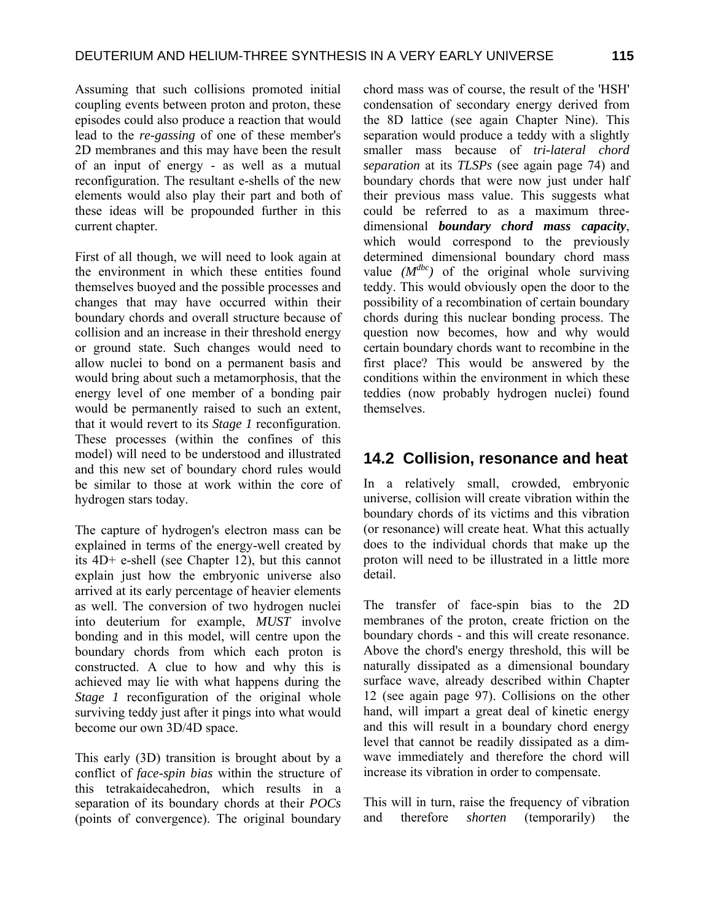Assuming that such collisions promoted initial coupling events between proton and proton, these episodes could also produce a reaction that would lead to the *re-gassing* of one of these member's 2D membranes and this may have been the result of an input of energy - as well as a mutual reconfiguration. The resultant e-shells of the new elements would also play their part and both of these ideas will be propounded further in this current chapter.

First of all though, we will need to look again at the environment in which these entities found themselves buoyed and the possible processes and changes that may have occurred within their boundary chords and overall structure because of collision and an increase in their threshold energy or ground state. Such changes would need to allow nuclei to bond on a permanent basis and would bring about such a metamorphosis, that the energy level of one member of a bonding pair would be permanently raised to such an extent, that it would revert to its *Stage 1* reconfiguration. These processes (within the confines of this model) will need to be understood and illustrated and this new set of boundary chord rules would be similar to those at work within the core of hydrogen stars today.

The capture of hydrogen's electron mass can be explained in terms of the energy-well created by its 4D+ e-shell (see Chapter 12), but this cannot explain just how the embryonic universe also arrived at its early percentage of heavier elements as well. The conversion of two hydrogen nuclei into deuterium for example, *MUST* involve bonding and in this model, will centre upon the boundary chords from which each proton is constructed. A clue to how and why this is achieved may lie with what happens during the *Stage 1* reconfiguration of the original whole surviving teddy just after it pings into what would become our own 3D/4D space.

This early (3D) transition is brought about by a conflict of *face-spin bias* within the structure of this tetrakaidecahedron, which results in a separation of its boundary chords at their *POCs* (points of convergence). The original boundary chord mass was of course, the result of the 'HSH' condensation of secondary energy derived from the 8D lattice (see again Chapter Nine). This separation would produce a teddy with a slightly smaller mass because of *tri-lateral chord separation* at its *TLSPs* (see again page 74) and boundary chords that were now just under half their previous mass value. This suggests what could be referred to as a maximum threedimensional *boundary chord mass capacity*, which would correspond to the previously determined dimensional boundary chord mass value  $(M^{dbc})$  of the original whole surviving teddy. This would obviously open the door to the possibility of a recombination of certain boundary chords during this nuclear bonding process. The question now becomes, how and why would certain boundary chords want to recombine in the first place? This would be answered by the conditions within the environment in which these teddies (now probably hydrogen nuclei) found themselves.

#### **14.2 Collision, resonance and heat**

In a relatively small, crowded, embryonic universe, collision will create vibration within the boundary chords of its victims and this vibration (or resonance) will create heat. What this actually does to the individual chords that make up the proton will need to be illustrated in a little more detail.

The transfer of face-spin bias to the 2D membranes of the proton, create friction on the boundary chords - and this will create resonance. Above the chord's energy threshold, this will be naturally dissipated as a dimensional boundary surface wave, already described within Chapter 12 (see again page 97). Collisions on the other hand, will impart a great deal of kinetic energy and this will result in a boundary chord energy level that cannot be readily dissipated as a dimwave immediately and therefore the chord will increase its vibration in order to compensate.

This will in turn, raise the frequency of vibration and therefore *shorten* (temporarily) the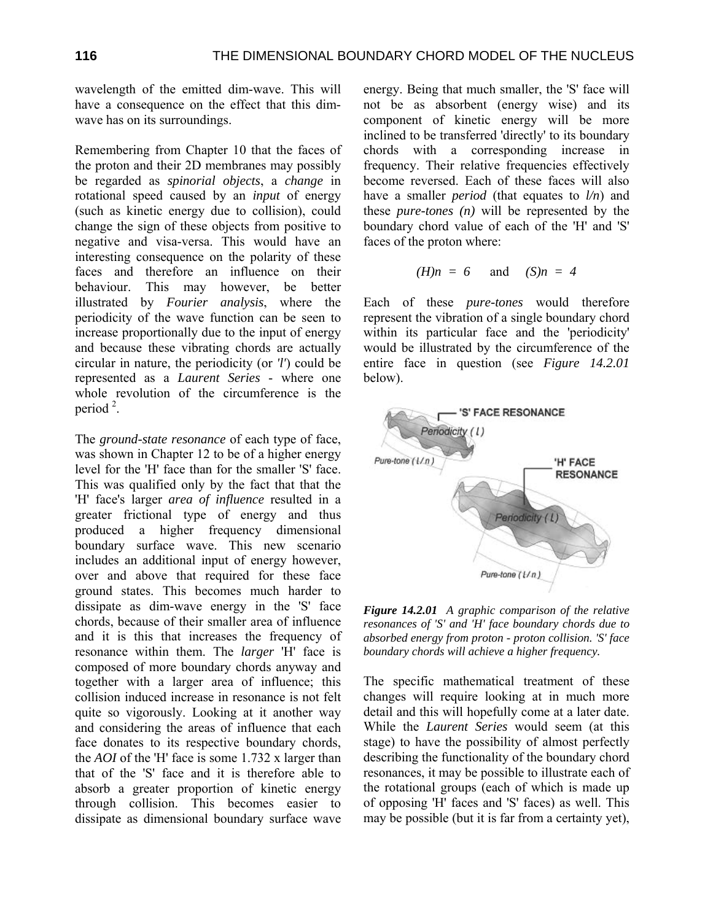wavelength of the emitted dim-wave. This will have a consequence on the effect that this dimwave has on its surroundings.

Remembering from Chapter 10 that the faces of the proton and their 2D membranes may possibly be regarded as *spinorial objects*, a *change* in rotational speed caused by an *input* of energy (such as kinetic energy due to collision), could change the sign of these objects from positive to negative and visa-versa. This would have an interesting consequence on the polarity of these faces and therefore an influence on their behaviour. This may however, be better illustrated by *Fourier analysis*, where the periodicity of the wave function can be seen to increase proportionally due to the input of energy and because these vibrating chords are actually circular in nature, the periodicity (or *'l'*) could be represented as a *Laurent Series* - where one whole revolution of the circumference is the period<sup>2</sup>.

The *ground-state resonance* of each type of face, was shown in Chapter 12 to be of a higher energy level for the 'H' face than for the smaller 'S' face. This was qualified only by the fact that that the 'H' face's larger *area of influence* resulted in a greater frictional type of energy and thus produced a higher frequency dimensional boundary surface wave. This new scenario includes an additional input of energy however, over and above that required for these face ground states. This becomes much harder to dissipate as dim-wave energy in the 'S' face chords, because of their smaller area of influence and it is this that increases the frequency of resonance within them. The *larger* 'H' face is composed of more boundary chords anyway and together with a larger area of influence; this collision induced increase in resonance is not felt quite so vigorously. Looking at it another way and considering the areas of influence that each face donates to its respective boundary chords, the *AOI* of the 'H' face is some 1.732 x larger than that of the 'S' face and it is therefore able to absorb a greater proportion of kinetic energy through collision. This becomes easier to dissipate as dimensional boundary surface wave

energy. Being that much smaller, the 'S' face will not be as absorbent (energy wise) and its component of kinetic energy will be more inclined to be transferred 'directly' to its boundary chords with a corresponding increase in frequency. Their relative frequencies effectively become reversed. Each of these faces will also have a smaller *period* (that equates to *l/n*) and these *pure-tones (n)* will be represented by the boundary chord value of each of the 'H' and 'S' faces of the proton where:

$$
(H)n = 6 \quad \text{and} \quad (S)n = 4
$$

Each of these *pure-tones* would therefore represent the vibration of a single boundary chord within its particular face and the 'periodicity' would be illustrated by the circumference of the entire face in question (see *Figure 14.2.01* below).



*Figure 14.2.01 A graphic comparison of the relative resonances of 'S' and 'H' face boundary chords due to absorbed energy from proton - proton collision. 'S' face boundary chords will achieve a higher frequency.* 

The specific mathematical treatment of these changes will require looking at in much more detail and this will hopefully come at a later date. While the *Laurent Series* would seem (at this stage) to have the possibility of almost perfectly describing the functionality of the boundary chord resonances, it may be possible to illustrate each of the rotational groups (each of which is made up of opposing 'H' faces and 'S' faces) as well. This may be possible (but it is far from a certainty yet),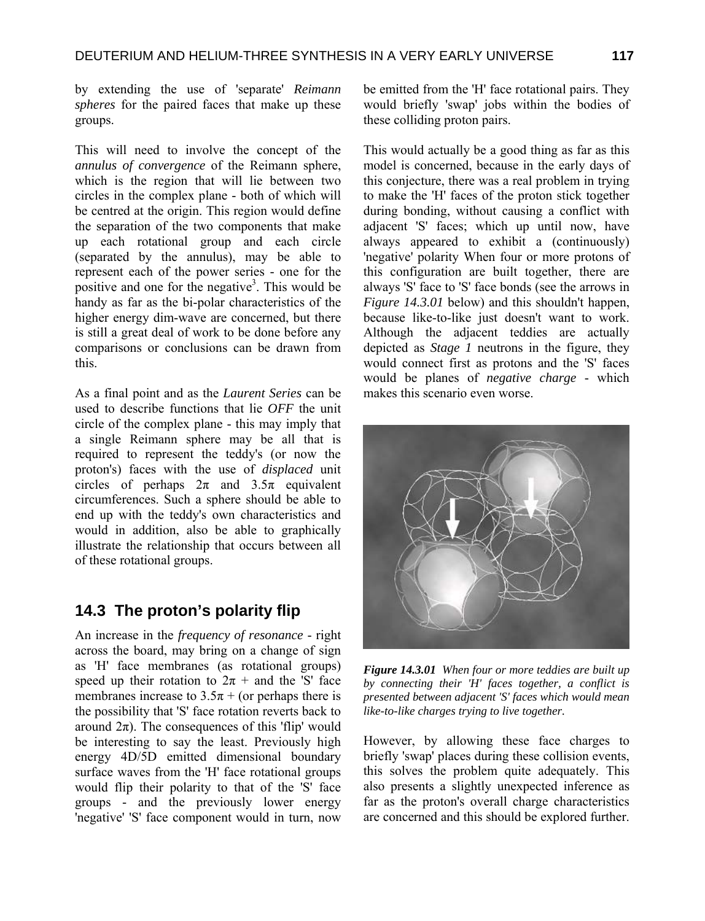by extending the use of 'separate' *Reimann spheres* for the paired faces that make up these groups.

This will need to involve the concept of the *annulus of convergence* of the Reimann sphere, which is the region that will lie between two circles in the complex plane - both of which will be centred at the origin. This region would define the separation of the two components that make up each rotational group and each circle (separated by the annulus), may be able to represent each of the power series - one for the positive and one for the negative<sup>3</sup>. This would be handy as far as the bi-polar characteristics of the higher energy dim-wave are concerned, but there is still a great deal of work to be done before any comparisons or conclusions can be drawn from this.

As a final point and as the *Laurent Series* can be used to describe functions that lie *OFF* the unit circle of the complex plane - this may imply that a single Reimann sphere may be all that is required to represent the teddy's (or now the proton's) faces with the use of *displaced* unit circles of perhaps  $2\pi$  and  $3.5\pi$  equivalent circumferences. Such a sphere should be able to end up with the teddy's own characteristics and would in addition, also be able to graphically illustrate the relationship that occurs between all of these rotational groups.

#### **14.3 The proton's polarity flip**

An increase in the *frequency of resonance* - right across the board, may bring on a change of sign as 'H' face membranes (as rotational groups) speed up their rotation to  $2\pi$  + and the 'S' face membranes increase to  $3.5\pi +$  (or perhaps there is the possibility that 'S' face rotation reverts back to around  $2π$ ). The consequences of this 'flip' would be interesting to say the least. Previously high energy 4D/5D emitted dimensional boundary surface waves from the 'H' face rotational groups would flip their polarity to that of the 'S' face groups - and the previously lower energy 'negative' 'S' face component would in turn, now

be emitted from the 'H' face rotational pairs. They would briefly 'swap' jobs within the bodies of these colliding proton pairs.

This would actually be a good thing as far as this model is concerned, because in the early days of this conjecture, there was a real problem in trying to make the 'H' faces of the proton stick together during bonding, without causing a conflict with adjacent 'S' faces; which up until now, have always appeared to exhibit a (continuously) 'negative' polarity When four or more protons of this configuration are built together, there are always 'S' face to 'S' face bonds (see the arrows in *Figure 14.3.01* below) and this shouldn't happen, because like-to-like just doesn't want to work. Although the adjacent teddies are actually depicted as *Stage 1* neutrons in the figure, they would connect first as protons and the 'S' faces would be planes of *negative charge* - which makes this scenario even worse.



*Figure 14.3.01 When four or more teddies are built up by connecting their 'H' faces together, a conflict is presented between adjacent 'S' faces which would mean like-to-like charges trying to live together.* 

However, by allowing these face charges to briefly 'swap' places during these collision events, this solves the problem quite adequately. This also presents a slightly unexpected inference as far as the proton's overall charge characteristics are concerned and this should be explored further.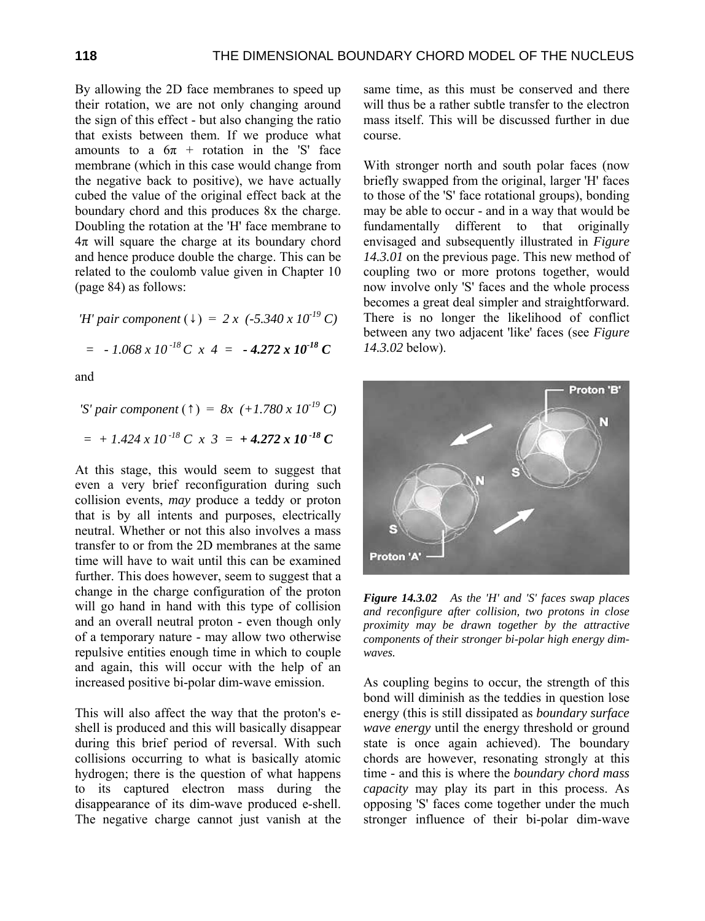By allowing the 2D face membranes to speed up their rotation, we are not only changing around the sign of this effect - but also changing the ratio that exists between them. If we produce what amounts to a  $6\pi$  + rotation in the 'S' face membrane (which in this case would change from the negative back to positive), we have actually cubed the value of the original effect back at the boundary chord and this produces 8x the charge. Doubling the rotation at the 'H' face membrane to  $4\pi$  will square the charge at its boundary chord and hence produce double the charge. This can be related to the coulomb value given in Chapter 10 (page 84) as follows:

*'H' pair component* (↓) = *2 x (-5.340 x 10-19 C)*  $=$   $-1.068 \times 10^{-18} C \times 4 = -4.272 \times 10^{-18} C$ 

and

*'S' pair component* (↑) = *8x (+1.780 x 10-19 C)*  $= + 1.424 \times 10^{-18} C \times 3 = +4.272 \times 10^{-18} C$ 

At this stage, this would seem to suggest that even a very brief reconfiguration during such collision events, *may* produce a teddy or proton that is by all intents and purposes, electrically neutral. Whether or not this also involves a mass transfer to or from the 2D membranes at the same time will have to wait until this can be examined further. This does however, seem to suggest that a change in the charge configuration of the proton will go hand in hand with this type of collision and an overall neutral proton - even though only of a temporary nature - may allow two otherwise repulsive entities enough time in which to couple and again, this will occur with the help of an increased positive bi-polar dim-wave emission.

This will also affect the way that the proton's eshell is produced and this will basically disappear during this brief period of reversal. With such collisions occurring to what is basically atomic hydrogen; there is the question of what happens to its captured electron mass during the disappearance of its dim-wave produced e-shell. The negative charge cannot just vanish at the same time, as this must be conserved and there will thus be a rather subtle transfer to the electron mass itself. This will be discussed further in due course.

With stronger north and south polar faces (now briefly swapped from the original, larger 'H' faces to those of the 'S' face rotational groups), bonding may be able to occur - and in a way that would be fundamentally different to that originally envisaged and subsequently illustrated in *Figure 14.3.01* on the previous page. This new method of coupling two or more protons together, would now involve only 'S' faces and the whole process becomes a great deal simpler and straightforward. There is no longer the likelihood of conflict between any two adjacent 'like' faces (see *Figure 14.3.02* below).



*Figure 14.3.02 As the 'H' and 'S' faces swap places and reconfigure after collision, two protons in close proximity may be drawn together by the attractive components of their stronger bi-polar high energy dimwaves.* 

As coupling begins to occur, the strength of this bond will diminish as the teddies in question lose energy (this is still dissipated as *boundary surface wave energy* until the energy threshold or ground state is once again achieved). The boundary chords are however, resonating strongly at this time - and this is where the *boundary chord mass capacity* may play its part in this process. As opposing 'S' faces come together under the much stronger influence of their bi-polar dim-wave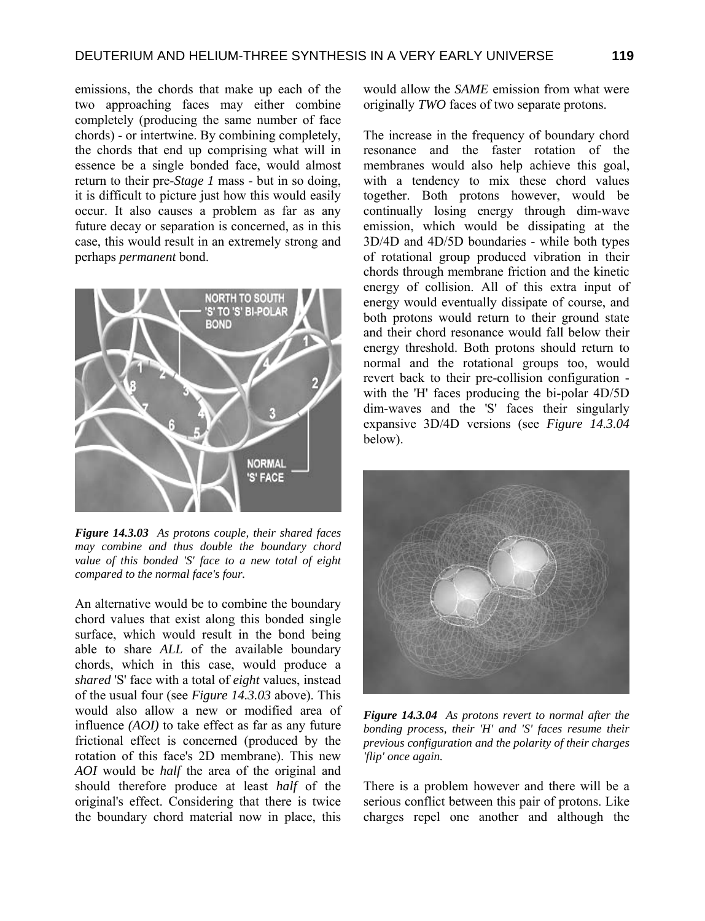emissions, the chords that make up each of the two approaching faces may either combine completely (producing the same number of face chords) - or intertwine. By combining completely, the chords that end up comprising what will in essence be a single bonded face, would almost return to their pre-*Stage 1* mass - but in so doing, it is difficult to picture just how this would easily occur. It also causes a problem as far as any future decay or separation is concerned, as in this case, this would result in an extremely strong and perhaps *permanent* bond.



*Figure 14.3.03 As protons couple, their shared faces may combine and thus double the boundary chord value of this bonded 'S' face to a new total of eight compared to the normal face's four.* 

An alternative would be to combine the boundary chord values that exist along this bonded single surface, which would result in the bond being able to share *ALL* of the available boundary chords, which in this case, would produce a *shared* 'S' face with a total of *eight* values, instead of the usual four (see *Figure 14.3.03* above). This would also allow a new or modified area of influence *(AOI)* to take effect as far as any future frictional effect is concerned (produced by the rotation of this face's 2D membrane). This new *AOI* would be *half* the area of the original and should therefore produce at least *half* of the original's effect. Considering that there is twice the boundary chord material now in place, this

would allow the *SAME* emission from what were originally *TWO* faces of two separate protons.

The increase in the frequency of boundary chord resonance and the faster rotation of the membranes would also help achieve this goal, with a tendency to mix these chord values together. Both protons however, would be continually losing energy through dim-wave emission, which would be dissipating at the 3D/4D and 4D/5D boundaries - while both types of rotational group produced vibration in their chords through membrane friction and the kinetic energy of collision. All of this extra input of energy would eventually dissipate of course, and both protons would return to their ground state and their chord resonance would fall below their energy threshold. Both protons should return to normal and the rotational groups too, would revert back to their pre-collision configuration with the 'H' faces producing the bi-polar 4D/5D dim-waves and the 'S' faces their singularly expansive 3D/4D versions (see *Figure 14.3.04* below).



*Figure 14.3.04 As protons revert to normal after the bonding process, their 'H' and 'S' faces resume their previous configuration and the polarity of their charges 'flip' once again.* 

There is a problem however and there will be a serious conflict between this pair of protons. Like charges repel one another and although the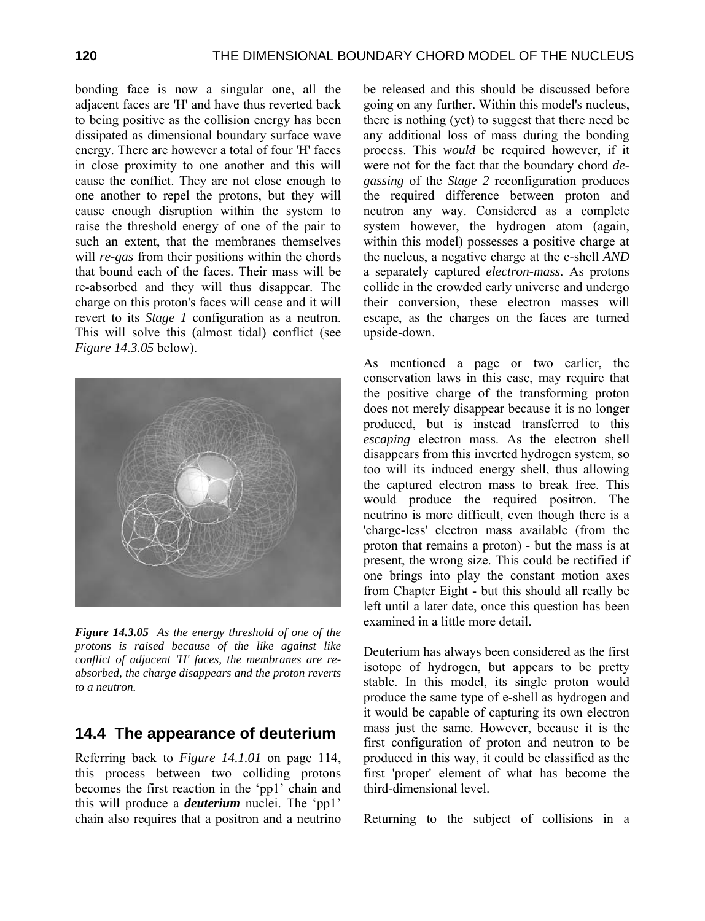bonding face is now a singular one, all the adjacent faces are 'H' and have thus reverted back to being positive as the collision energy has been dissipated as dimensional boundary surface wave energy. There are however a total of four 'H' faces in close proximity to one another and this will cause the conflict. They are not close enough to one another to repel the protons, but they will cause enough disruption within the system to raise the threshold energy of one of the pair to such an extent, that the membranes themselves will *re-gas* from their positions within the chords that bound each of the faces. Their mass will be re-absorbed and they will thus disappear. The charge on this proton's faces will cease and it will revert to its *Stage 1* configuration as a neutron. This will solve this (almost tidal) conflict (see *Figure 14.3.05* below).



*Figure 14.3.05 As the energy threshold of one of the protons is raised because of the like against like conflict of adjacent 'H' faces, the membranes are reabsorbed, the charge disappears and the proton reverts to a neutron.* 

### **14.4 The appearance of deuterium**

Referring back to *Figure 14.1.01* on page 114, this process between two colliding protons becomes the first reaction in the 'pp1' chain and this will produce a *deuterium* nuclei. The 'pp1' chain also requires that a positron and a neutrino

be released and this should be discussed before going on any further. Within this model's nucleus, there is nothing (yet) to suggest that there need be any additional loss of mass during the bonding process. This *would* be required however, if it were not for the fact that the boundary chord *degassing* of the *Stage 2* reconfiguration produces the required difference between proton and neutron any way. Considered as a complete system however, the hydrogen atom (again, within this model) possesses a positive charge at the nucleus, a negative charge at the e-shell *AND* a separately captured *electron-mass*. As protons collide in the crowded early universe and undergo their conversion, these electron masses will escape, as the charges on the faces are turned upside-down.

As mentioned a page or two earlier, the conservation laws in this case, may require that the positive charge of the transforming proton does not merely disappear because it is no longer produced, but is instead transferred to this *escaping* electron mass. As the electron shell disappears from this inverted hydrogen system, so too will its induced energy shell, thus allowing the captured electron mass to break free. This would produce the required positron. The neutrino is more difficult, even though there is a 'charge-less' electron mass available (from the proton that remains a proton) - but the mass is at present, the wrong size. This could be rectified if one brings into play the constant motion axes from Chapter Eight - but this should all really be left until a later date, once this question has been examined in a little more detail.

Deuterium has always been considered as the first isotope of hydrogen, but appears to be pretty stable. In this model, its single proton would produce the same type of e-shell as hydrogen and it would be capable of capturing its own electron mass just the same. However, because it is the first configuration of proton and neutron to be produced in this way, it could be classified as the first 'proper' element of what has become the third-dimensional level.

Returning to the subject of collisions in a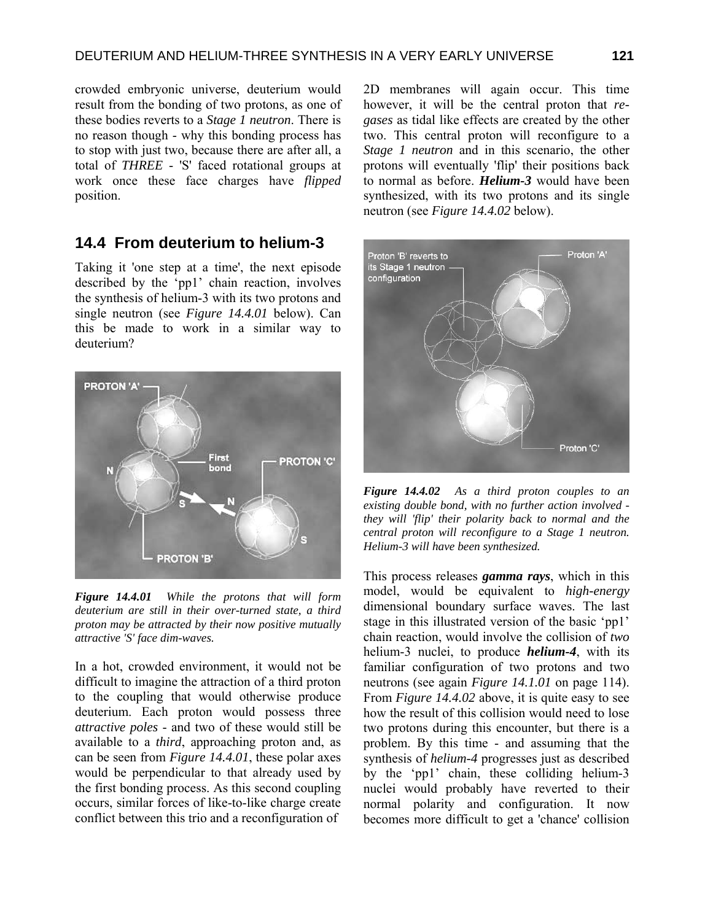crowded embryonic universe, deuterium would result from the bonding of two protons, as one of these bodies reverts to a *Stage 1 neutron*. There is no reason though - why this bonding process has to stop with just two, because there are after all, a total of *THREE* - 'S' faced rotational groups at work once these face charges have *flipped* position.

#### **14.4 From deuterium to helium-3**

Taking it 'one step at a time', the next episode described by the 'pp1' chain reaction, involves the synthesis of helium-3 with its two protons and single neutron (see *Figure 14.4.01* below). Can this be made to work in a similar way to deuterium?



*Figure 14.4.01 While the protons that will form deuterium are still in their over-turned state, a third proton may be attracted by their now positive mutually attractive 'S' face dim-waves.* 

In a hot, crowded environment, it would not be difficult to imagine the attraction of a third proton to the coupling that would otherwise produce deuterium. Each proton would possess three *attractive poles* - and two of these would still be available to a *third*, approaching proton and, as can be seen from *Figure 14.4.01*, these polar axes would be perpendicular to that already used by the first bonding process. As this second coupling occurs, similar forces of like-to-like charge create conflict between this trio and a reconfiguration of

2D membranes will again occur. This time however, it will be the central proton that *regases* as tidal like effects are created by the other two. This central proton will reconfigure to a *Stage 1 neutron* and in this scenario, the other protons will eventually 'flip' their positions back to normal as before. *Helium-3* would have been synthesized, with its two protons and its single neutron (see *Figure 14.4.02* below).



*Figure 14.4.02 As a third proton couples to an existing double bond, with no further action involved they will 'flip' their polarity back to normal and the central proton will reconfigure to a Stage 1 neutron. Helium-3 will have been synthesized.* 

This process releases *gamma rays*, which in this model, would be equivalent to *high-energy* dimensional boundary surface waves. The last stage in this illustrated version of the basic 'pp1' chain reaction, would involve the collision of *two* helium-3 nuclei, to produce *helium-4*, with its familiar configuration of two protons and two neutrons (see again *Figure 14.1.01* on page 114). From *Figure 14.4.02* above, it is quite easy to see how the result of this collision would need to lose two protons during this encounter, but there is a problem. By this time - and assuming that the synthesis of *helium-4* progresses just as described by the 'pp1' chain, these colliding helium-3 nuclei would probably have reverted to their normal polarity and configuration. It now becomes more difficult to get a 'chance' collision